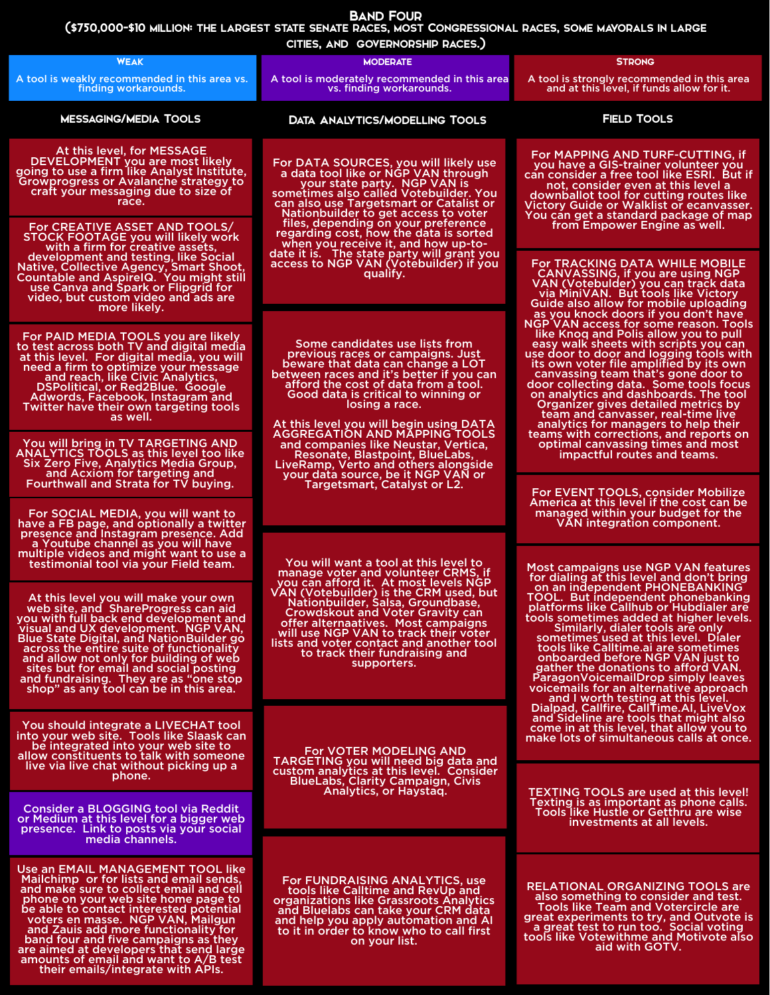|                                                                                                                                                                                                                                                                                                                                                                                                                                                                              | AND COMMUNICATION IN ACTED,                                                                                                                                                                                                                                                                                                                                                         |                                                                                                                                                                                                                                                                                                                                                                                                                                                                                                                                                                                                                                                                                                                                                    |  |
|------------------------------------------------------------------------------------------------------------------------------------------------------------------------------------------------------------------------------------------------------------------------------------------------------------------------------------------------------------------------------------------------------------------------------------------------------------------------------|-------------------------------------------------------------------------------------------------------------------------------------------------------------------------------------------------------------------------------------------------------------------------------------------------------------------------------------------------------------------------------------|----------------------------------------------------------------------------------------------------------------------------------------------------------------------------------------------------------------------------------------------------------------------------------------------------------------------------------------------------------------------------------------------------------------------------------------------------------------------------------------------------------------------------------------------------------------------------------------------------------------------------------------------------------------------------------------------------------------------------------------------------|--|
| <b>WEAK</b>                                                                                                                                                                                                                                                                                                                                                                                                                                                                  | <b>MODERATE</b>                                                                                                                                                                                                                                                                                                                                                                     | <b>STRONG</b>                                                                                                                                                                                                                                                                                                                                                                                                                                                                                                                                                                                                                                                                                                                                      |  |
| A tool is weakly recommended in this area vs.<br>finding workarounds.                                                                                                                                                                                                                                                                                                                                                                                                        | A tool is moderately recommended in this area<br>vs. finding workarounds.                                                                                                                                                                                                                                                                                                           | A tool is strongly recommended in this area<br>and at this level, if funds allow for it.                                                                                                                                                                                                                                                                                                                                                                                                                                                                                                                                                                                                                                                           |  |
| <b>MESSAGING/MEDIA TOOLS</b>                                                                                                                                                                                                                                                                                                                                                                                                                                                 | <b>DATA ANALYTICS/MODELLING TOOLS</b>                                                                                                                                                                                                                                                                                                                                               | <b>FIELD TOOLS</b>                                                                                                                                                                                                                                                                                                                                                                                                                                                                                                                                                                                                                                                                                                                                 |  |
| At this level, for MESSAGE<br>DEVELOPMENT you are most likely<br>going to use a firm like Analyst Institute,<br>Growprogress or Avalanche strategy to<br>craft your messaging due to size of<br>race.<br><b>For CREATIVE ASSET AND TOOLS/</b>                                                                                                                                                                                                                                | For DATA SOURCES, you will likely use<br>a data tool like or NGP VAN through<br>your state party. NGP VAN is<br>sometimes also called Votebuilder. You<br>can also use Targetsmart or Catalist or<br>Nationbuilder to get access to voter<br>files, depending on your preference                                                                                                    | For MAPPING AND TURF-CUTTING, if<br>you have a GIS-trainer volunteer you<br>can consider a free tool like ESRI. But if<br>not, consider even at this level a<br>downballot tool for cutting routes like<br>Victory Guide or Walklist or ecanvasser.<br>You can get a standard package of map<br>from Empower Engine as well.                                                                                                                                                                                                                                                                                                                                                                                                                       |  |
| <b>STOCK FOOTAGE you will likely work</b><br>with a firm for creative assets,<br>development and testing, like Social<br>Native, Collective Agency, Smart Shoot,<br>Countable and AspirelQ. You might still<br>use Canva and Spark or Flipgrid for<br>video, but custom video and ads are<br>more likely.                                                                                                                                                                    | regarding cost, how the data is sorted<br>when you receive it, and how up-to-<br>date it is. The state party will grant you<br>access to NGP VAN (Votebuilder) if you<br>qualify.                                                                                                                                                                                                   | For TRACKING DATA WHILE MOBILE<br><b>CANVASSING, if you are using NGP</b><br>VAN (Votebulder) you can track data<br>via MiniVAN. But tools like Victory<br>Guide also allow for mobile uploading<br>as you knock doors if you don't have                                                                                                                                                                                                                                                                                                                                                                                                                                                                                                           |  |
| For PAID MEDIA TOOLS you are likely<br>to test across both TV and digital media<br>at this level. For digital media, you will<br>need a firm to optimize your message<br>and reach, like Civic Analytics,<br>DSPolitical, or Red2Blue. Google<br>Adwords, Facebook, Instagram and<br>Twitter have their own targeting tools<br>as well.                                                                                                                                      | Some candidates use lists from<br>previous races or campaigns. Just<br>beware that data can change a LOT<br>between races and it's better if you can<br>afford the cost of data from a tool.<br>Good data is critical to winning or<br>losing a race.<br>At this level you will begin using DATA                                                                                    | NGP VAN access for some reason. Tools<br>like Knog and Polis allow you to pull<br>easy walk sheets with scripts you can<br>use door to door and logging tools with<br>its own voter file amplified by its own<br>canvassing team that's gone door to<br>door collecting data. Some tools focus<br>on analytics and dashboards. The tool<br>Organizer gives detailed metrics by<br>team and canvasser, real-time live<br>analytics for managers to help their                                                                                                                                                                                                                                                                                       |  |
| You will bring in TV TARGETING AND<br><b>ANALYTICS TOOLS as this level too like</b><br>Six Zero Five, Analytics Media Group,<br>and Acxiom for targeting and<br>Fourthwall and Strata for TV buying.                                                                                                                                                                                                                                                                         | <b>AGGREGATION AND MAPPING TOOLS</b><br>and companies like Neustar, Vertica,<br><b>Resonate, Blastpoint, BlueLabs,</b><br>LiveRamp, Verto and others alongside<br>your data source, be it NGP VAN or<br>Targetsmart, Catalyst or L2.                                                                                                                                                | teams with corrections, and reports on<br>optimal canvassing times and most<br>impactful routes and teams.                                                                                                                                                                                                                                                                                                                                                                                                                                                                                                                                                                                                                                         |  |
| For SOCIAL MEDIA, you will want to<br>have a FB page, and optionally a twitter<br>presence and Instagram presence. Add<br>a Youtube channel as you will have<br>multiple videos and might want to use a                                                                                                                                                                                                                                                                      | You will want a tool at this level to                                                                                                                                                                                                                                                                                                                                               | <b>For EVENT TOOLS, consider Mobilize</b><br>America at this level if the cost can be<br>managed within your budget for the<br>VAN integration component.                                                                                                                                                                                                                                                                                                                                                                                                                                                                                                                                                                                          |  |
| testimonial tool via your Field team.<br>At this level you will make your own<br>web site, and ShareProgress can aid<br>you with full back end development and<br>visual and UX development. NGP VAN,<br><b>Blue State Digital, and NationBuilder go</b><br>across the entire suite of functionality<br>and allow not only for building of web<br>sites but for email and social posting<br>and fundraising. They are as "one stop<br>shop" as any tool can be in this area. | manage voter and volunteer CRMS, if<br>you can afford it. At most levels NGP<br>VAN (Votebuilder) is the CRM used, but<br>Nationbuilder, Salsa, Groundbase,<br><b>Crowdskout and Voter Gravity can</b><br>offer alternaatives. Most campaigns<br>will use NGP VAN to track their voter<br>lists and voter contact and another tool<br>to track their fundraising and<br>supporters. | Most campaigns use NGP VAN features<br>for dialing at this level and don't bring<br>on an independent PHONEBANKING<br>TOOL. But independent phonebanking<br>platforms like Callhub or Hubdialer are<br>tools sometimes added at higher levels.<br>Similarly, dialer tools are only<br>sometimes used at this level. Dialer<br>tools like Calltime.ai are sometimes<br>onboarded before NGP VAN just to<br>gather the donations to afford VAN.<br>Paragon Voicemail Drop simply leaves<br>voicemails for an alternative approach<br>and I worth testing at this level.<br>Dialpad, Callfire, CallTime.AI, LiveVox<br>and Sideline are tools that might also<br>come in at this level, that allow you to<br>make lots of simultaneous calls at once. |  |
| You should integrate a LIVECHAT tool<br>into your web site. Tools like Slaask can<br>be integrated into your web site to<br>allow constituents to talk with someone<br>live via live chat without picking up a                                                                                                                                                                                                                                                               | <b>For VOTER MODELING AND</b><br><b>TARGETING you will need big data and</b>                                                                                                                                                                                                                                                                                                        |                                                                                                                                                                                                                                                                                                                                                                                                                                                                                                                                                                                                                                                                                                                                                    |  |
| phone.<br><b>Consider a BLOGGING tool via Reddit</b><br>or Medium at this level for a bigger web<br>presence. Link to posts via your social<br>media channels.                                                                                                                                                                                                                                                                                                               | custom analytics at this level. Consider<br><b>BlueLabs, Clarity Campaign, Civis</b><br>Analytics, or Haystaq.                                                                                                                                                                                                                                                                      | <b>TEXTING TOOLS are used at this level!</b><br>Texting is as important as phone calls.<br>Tools like Hustle or Getthru are wise<br>investments at all levels.                                                                                                                                                                                                                                                                                                                                                                                                                                                                                                                                                                                     |  |
| Use an EMAIL MANAGEMENT TOOL like<br>Mailchimp or for lists and email sends,<br>and make sure to collect email and cell<br>phone on your web site home page to<br>be able to contact interested potential<br>voters en masse. NGP VAN, Mailgun<br>and Zauis add more functionality for<br>band four and five campaigns as they<br>are aimed at developers that send large                                                                                                    | <b>For FUNDRAISING ANALYTICS, use</b><br>tools like Calltime and RevUp and<br>organizations like Grassroots Analytics<br>and Bluelabs can take your CRM data<br>and help you apply automation and AI<br>to it in order to know who to call first<br>on your list.                                                                                                                   | <b>RELATIONAL ORGANIZING TOOLS are</b><br>also something to consider and test.<br><b>Tools like Team and Votercircle are</b><br>great experiments to try, and Outvote is<br>a great test to run too. Social voting<br>tools like Votewithme and Motivote also<br>aid with GOTV.                                                                                                                                                                                                                                                                                                                                                                                                                                                                    |  |

amounts of email and want to A/B test<br>their emails/integrate with APIs.

## BAND FOUR

(\$750,000-\$10 million: the largest state senate races, most Congressional races, some mayorals in large

cities, and governorship races.)